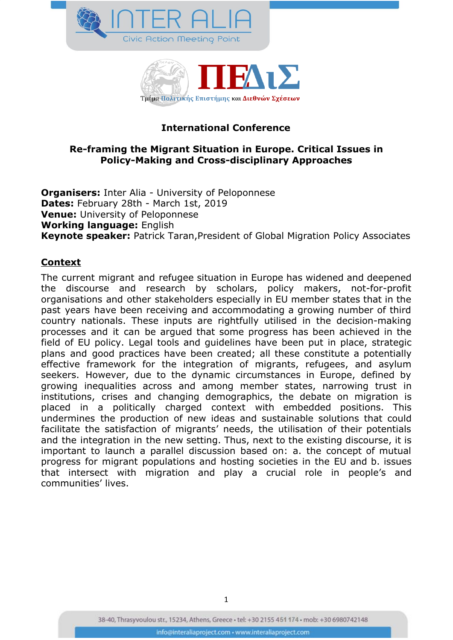



## **International Conference**

### **Re-framing the Migrant Situation in Europe. Critical Issues in Policy-Making and Cross-disciplinary Approaches**

**Organisers:** Inter Alia - University of Peloponnese **Dates:** February 28th - March 1st, 2019 **Venue:** University of Peloponnese **Working language:** English **Keynote speaker:** Patrick Taran,President of Global Migration Policy Associates

### **Context**

The current migrant and refugee situation in Europe has widened and deepened the discourse and research by scholars, policy makers, not-for-profit organisations and other stakeholders especially in EU member states that in the past years have been receiving and accommodating a growing number of third country nationals. These inputs are rightfully utilised in the decision-making processes and it can be argued that some progress has been achieved in the field of EU policy. Legal tools and guidelines have been put in place, strategic plans and good practices have been created; all these constitute a potentially effective framework for the integration of migrants, refugees, and asylum seekers. However, due to the dynamic circumstances in Europe, defined by growing inequalities across and among member states, narrowing trust in institutions, crises and changing demographics, the debate on migration is placed in a politically charged context with embedded positions. This undermines the production of new ideas and sustainable solutions that could facilitate the satisfaction of migrants' needs, the utilisation of their potentials and the integration in the new setting. Thus, next to the existing discourse, it is important to launch a parallel discussion based on: a. the concept of mutual progress for migrant populations and hosting societies in the EU and b. issues that intersect with migration and play a crucial role in people's and communities' lives.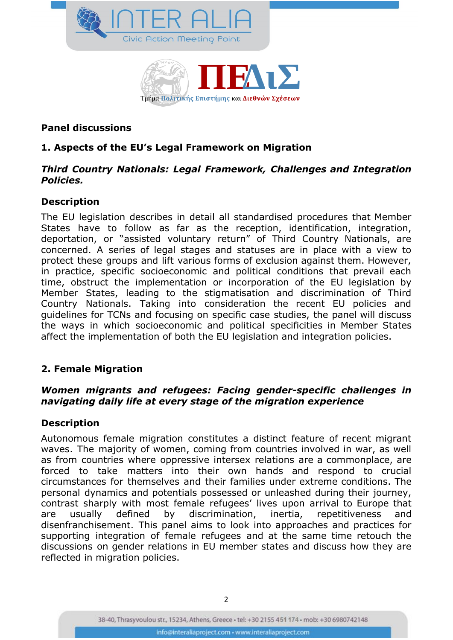



#### **Panel discussions**

### **1. Aspects of the EU's Legal Framework on Migration**

#### *Third Country Nationals: Legal Framework, Challenges and Integration Policies.*

### **Description**

The EU legislation describes in detail all standardised procedures that Member States have to follow as far as the reception, identification, integration, deportation, or "assisted voluntary return" of Third Country Nationals, are concerned. A series of legal stages and statuses are in place with a view to protect these groups and lift various forms of exclusion against them. However, in practice, specific socioeconomic and political conditions that prevail each time, obstruct the implementation or incorporation of the EU legislation by Member States, leading to the stigmatisation and discrimination of Third Country Nationals. Taking into consideration the recent EU policies and guidelines for TCNs and focusing on specific case studies, the panel will discuss the ways in which socioeconomic and political specificities in Member States affect the implementation of both the EU legislation and integration policies.

### **2. Female Migration**

### *Women migrants and refugees: Facing gender-specific challenges in navigating daily life at every stage of the migration experience*

### **Description**

Autonomous female migration constitutes a distinct feature of recent migrant waves. The majority of women, coming from countries involved in war, as well as from countries where oppressive intersex relations are a commonplace, are forced to take matters into their own hands and respond to crucial circumstances for themselves and their families under extreme conditions. The personal dynamics and potentials possessed or unleashed during their journey, contrast sharply with most female refugees' lives upon arrival to Europe that are usually defined by discrimination, inertia, repetitiveness and disenfranchisement. This panel aims to look into approaches and practices for supporting integration of female refugees and at the same time retouch the discussions on gender relations in EU member states and discuss how they are reflected in migration policies.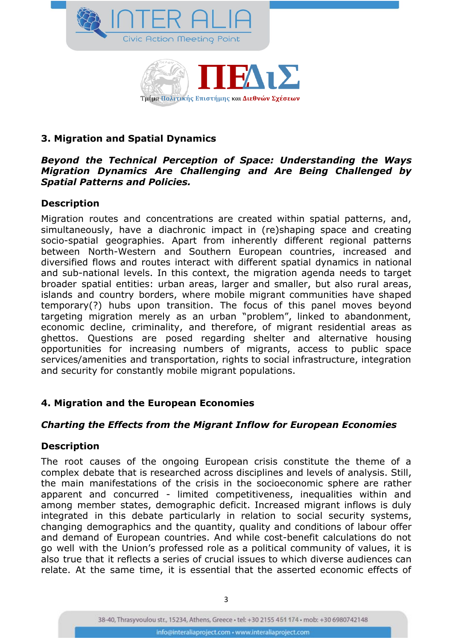



## **3. Migration and Spatial Dynamics**

#### *Beyond the Technical Perception of Space: Understanding the Ways Migration Dynamics Are Challenging and Are Being Challenged by Spatial Patterns and Policies.*

### **Description**

Migration routes and concentrations are created within spatial patterns, and, simultaneously, have a diachronic impact in (re)shaping space and creating socio-spatial geographies. Apart from inherently different regional patterns between North-Western and Southern European countries, increased and diversified flows and routes interact with different spatial dynamics in national and sub-national levels. In this context, the migration agenda needs to target broader spatial entities: urban areas, larger and smaller, but also rural areas, islands and country borders, where mobile migrant communities have shaped temporary(?) hubs upon transition. The focus of this panel moves beyond targeting migration merely as an urban "problem", linked to abandonment, economic decline, criminality, and therefore, of migrant residential areas as ghettos. Questions are posed regarding shelter and alternative housing opportunities for increasing numbers of migrants, access to public space services/amenities and transportation, rights to social infrastructure, integration and security for constantly mobile migrant populations.

# **4. Migration and the European Economies**

# *Charting the Effects from the Migrant Inflow for European Economies*

# **Description**

The root causes of the ongoing European crisis constitute the theme of a complex debate that is researched across disciplines and levels of analysis. Still, the main manifestations of the crisis in the socioeconomic sphere are rather apparent and concurred - limited competitiveness, inequalities within and among member states, demographic deficit. Increased migrant inflows is duly integrated in this debate particularly in relation to social security systems, changing demographics and the quantity, quality and conditions of labour offer and demand of European countries. And while cost-benefit calculations do not go well with the Union's professed role as a political community of values, it is also true that it reflects a series of crucial issues to which diverse audiences can relate. At the same time, it is essential that the asserted economic effects of